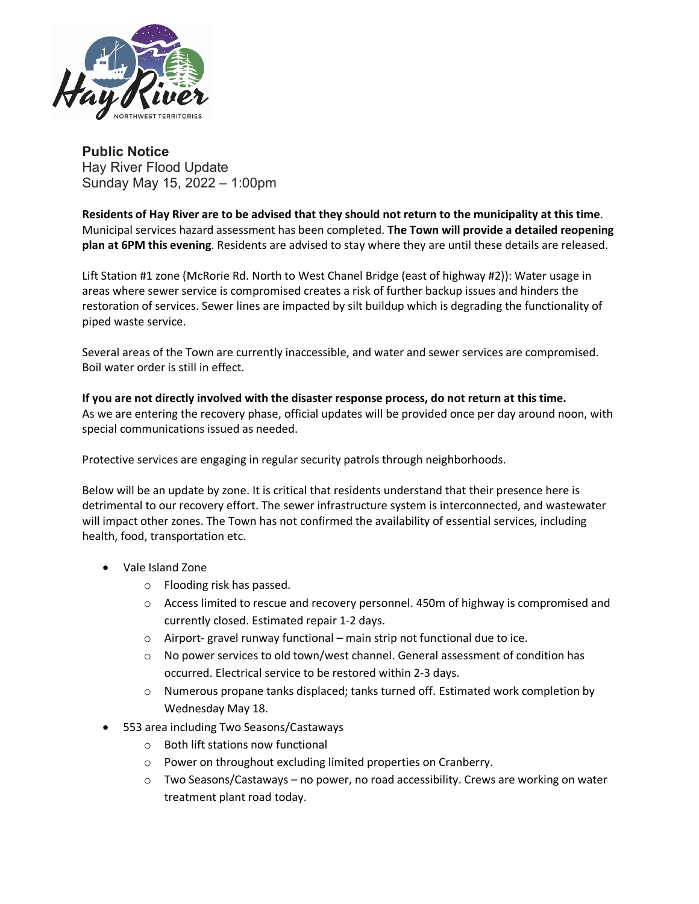

**Public Notice** Hay River Flood Update Sunday May 15, 2022 – 1:00pm

**Residents of Hay River are to be advised that they should not return to the municipality at this time**. Municipal services hazard assessment has been completed. **The Town will provide a detailed reopening plan at 6PM this evening**. Residents are advised to stay where they are until these details are released.

Lift Station #1 zone (McRorie Rd. North to West Chanel Bridge (east of highway #2)): Water usage in areas where sewer service is compromised creates a risk of further backup issues and hinders the restoration of services. Sewer lines are impacted by silt buildup which is degrading the functionality of piped waste service.

Several areas of the Town are currently inaccessible, and water and sewer services are compromised. Boil water order is still in effect.

**If you are not directly involved with the disaster response process, do not return at this time.**  As we are entering the recovery phase, official updates will be provided once per day around noon, with special communications issued as needed.

Protective services are engaging in regular security patrols through neighborhoods.

Below will be an update by zone. It is critical that residents understand that their presence here is detrimental to our recovery effort. The sewer infrastructure system is interconnected, and wastewater will impact other zones. The Town has not confirmed the availability of essential services, including health, food, transportation etc.

- Vale Island Zone
	- o Flooding risk has passed.
	- o Access limited to rescue and recovery personnel. 450m of highway is compromised and currently closed. Estimated repair 1-2 days.
	- $\circ$  Airport- gravel runway functional main strip not functional due to ice.
	- $\circ$  No power services to old town/west channel. General assessment of condition has occurred. Electrical service to be restored within 2-3 days.
	- o Numerous propane tanks displaced; tanks turned off. Estimated work completion by Wednesday May 18.
- 553 area including Two Seasons/Castaways
	- o Both lift stations now functional
	- o Power on throughout excluding limited properties on Cranberry.
	- $\circ$  Two Seasons/Castaways no power, no road accessibility. Crews are working on water treatment plant road today.